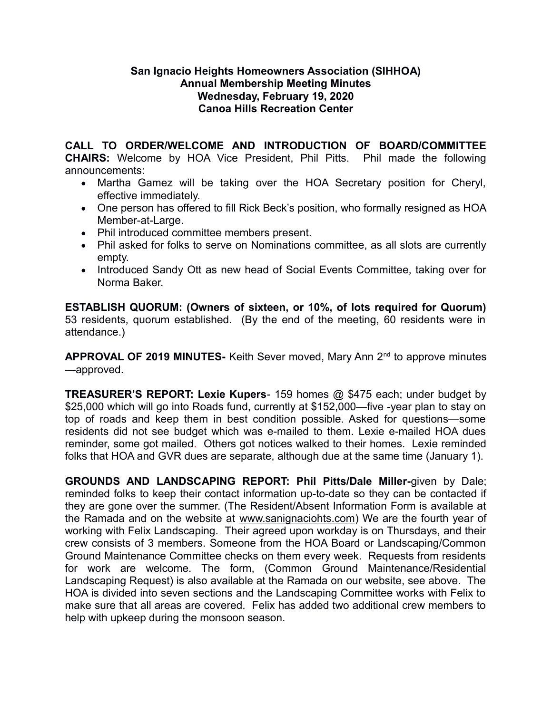## **San Ignacio Heights Homeowners Association (SIHHOA) Annual Membership Meeting Minutes Wednesday, February 19, 2020 Canoa Hills Recreation Center**

**CALL TO ORDER/WELCOME AND INTRODUCTION OF BOARD/COMMITTEE CHAIRS:** Welcome by HOA Vice President, Phil Pitts. Phil made the following announcements:

- Martha Gamez will be taking over the HOA Secretary position for Cheryl, effective immediately.
- One person has offered to fill Rick Beck's position, who formally resigned as HOA Member-at-Large.
- Phil introduced committee members present.
- Phil asked for folks to serve on Nominations committee, as all slots are currently empty.
- Introduced Sandy Ott as new head of Social Events Committee, taking over for Norma Baker.

**ESTABLISH QUORUM: (Owners of sixteen, or 10%, of lots required for Quorum)** 53 residents, quorum established. (By the end of the meeting, 60 residents were in attendance.)

**APPROVAL OF 2019 MINUTES-** Keith Sever moved, Mary Ann 2nd to approve minutes —approved.

**TREASURER'S REPORT: Lexie Kupers**- 159 homes @ \$475 each; under budget by \$25,000 which will go into Roads fund, currently at \$152,000—five -year plan to stay on top of roads and keep them in best condition possible. Asked for questions—some residents did not see budget which was e-mailed to them. Lexie e-mailed HOA dues reminder, some got mailed. Others got notices walked to their homes. Lexie reminded folks that HOA and GVR dues are separate, although due at the same time (January 1).

**GROUNDS AND LANDSCAPING REPORT: Phil Pitts/Dale Miller-**given by Dale; reminded folks to keep their contact information up-to-date so they can be contacted if they are gone over the summer. (The Resident/Absent Information Form is available at the Ramada and on the website at www.sanignaciohts.com) We are the fourth year of working with Felix Landscaping. Their agreed upon workday is on Thursdays, and their crew consists of 3 members. Someone from the HOA Board or Landscaping/Common Ground Maintenance Committee checks on them every week. Requests from residents for work are welcome. The form, (Common Ground Maintenance/Residential Landscaping Request) is also available at the Ramada on our website, see above. The HOA is divided into seven sections and the Landscaping Committee works with Felix to make sure that all areas are covered. Felix has added two additional crew members to help with upkeep during the monsoon season.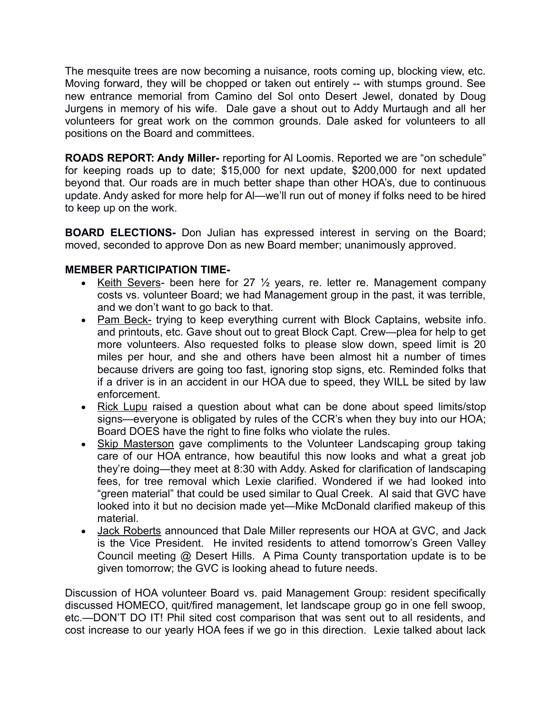The mesquite trees are now becoming a nuisance, roots coming up, blocking view, etc. Moving forward, they will be chopped or taken out entirely -- with stumps ground. See new entrance memorial from Camino del Sol onto Desert Jewel, donated by Doug Jurgens in memory of his wife. Dale gave a shout out to Addy Murtaugh and all her volunteers for great work on the common grounds. Dale asked for volunteers to all positions on the Board and committees.

**ROADS REPORT: Andy Miller-** reporting for Al Loomis. Reported we are "on schedule" for keeping roads up to date; \$15,000 for next update, \$200,000 for next updated beyond that. Our roads are in much better shape than other HOA's, due to continuous update. Andy asked for more help for Al—we'll run out of money if folks need to be hired to keep up on the work.

**BOARD ELECTIONS-** Don Julian has expressed interest in serving on the Board; moved, seconded to approve Don as new Board member; unanimously approved.

## **MEMBER PARTICIPATION TIME-**

- Keith Severs- been here for 27 ½ years, re. letter re. Management company costs vs. volunteer Board; we had Management group in the past, it was terrible, and we don't want to go back to that.
- Pam Beck- trying to keep everything current with Block Captains, website info. and printouts, etc. Gave shout out to great Block Capt. Crew—plea for help to get more volunteers. Also requested folks to please slow down, speed limit is 20 miles per hour, and she and others have been almost hit a number of times because drivers are going too fast, ignoring stop signs, etc. Reminded folks that if a driver is in an accident in our HOA due to speed, they WILL be sited by law enforcement.
- Rick Lupu raised a question about what can be done about speed limits/stop signs—everyone is obligated by rules of the CCR's when they buy into our HOA; Board DOES have the right to fine folks who violate the rules.
- Skip Masterson gave compliments to the Volunteer Landscaping group taking care of our HOA entrance, how beautiful this now looks and what a great job they're doing—they meet at 8:30 with Addy. Asked for clarification of landscaping fees, for tree removal which Lexie clarified. Wondered if we had looked into "green material" that could be used similar to Qual Creek. Al said that GVC have looked into it but no decision made yet—Mike McDonald clarified makeup of this material.
- Jack Roberts announced that Dale Miller represents our HOA at GVC, and Jack is the Vice President. He invited residents to attend tomorrow's Green Valley Council meeting @ Desert Hills. A Pima County transportation update is to be given tomorrow; the GVC is looking ahead to future needs.

Discussion of HOA volunteer Board vs. paid Management Group: resident specifically discussed HOMECO, quit/fired management, let landscape group go in one fell swoop, etc.—DON'T DO IT! Phil sited cost comparison that was sent out to all residents, and cost increase to our yearly HOA fees if we go in this direction. Lexie talked about lack